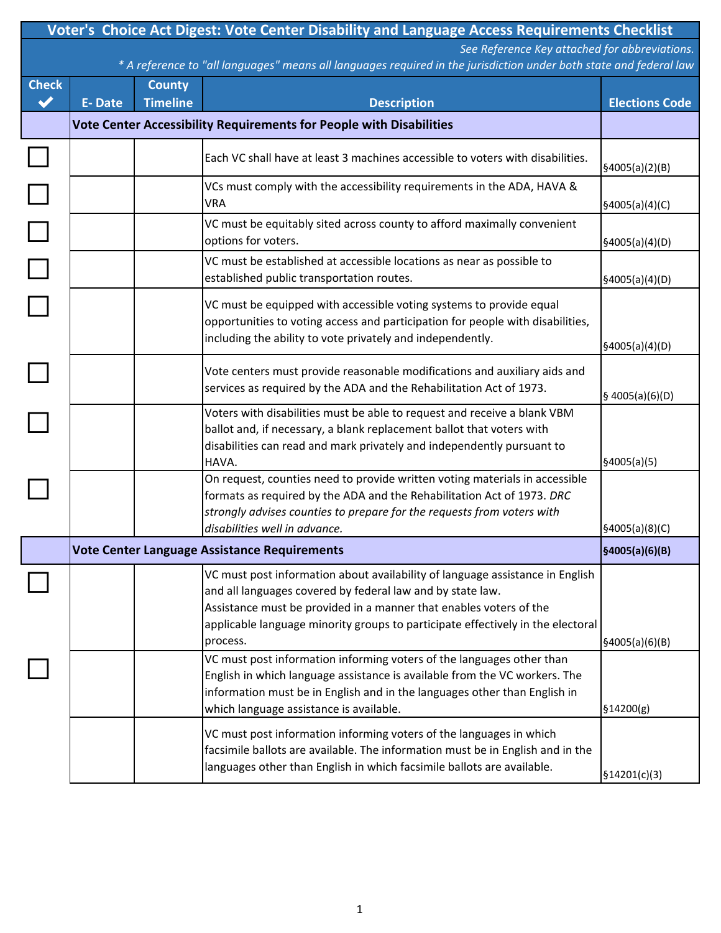| Voter's Choice Act Digest: Vote Center Disability and Language Access Requirements Checklist                                                                        |                                                                            |                 |                                                                                                                                                                                                                                                                                                      |                               |  |  |  |
|---------------------------------------------------------------------------------------------------------------------------------------------------------------------|----------------------------------------------------------------------------|-----------------|------------------------------------------------------------------------------------------------------------------------------------------------------------------------------------------------------------------------------------------------------------------------------------------------------|-------------------------------|--|--|--|
| See Reference Key attached for abbreviations.<br>* A reference to "all languages" means all languages required in the jurisdiction under both state and federal law |                                                                            |                 |                                                                                                                                                                                                                                                                                                      |                               |  |  |  |
| <b>Check</b>                                                                                                                                                        |                                                                            | <b>County</b>   |                                                                                                                                                                                                                                                                                                      |                               |  |  |  |
| $\checkmark$                                                                                                                                                        | E-Date                                                                     | <b>Timeline</b> | <b>Description</b>                                                                                                                                                                                                                                                                                   | <b>Elections Code</b>         |  |  |  |
|                                                                                                                                                                     | <b>Vote Center Accessibility Requirements for People with Disabilities</b> |                 |                                                                                                                                                                                                                                                                                                      |                               |  |  |  |
|                                                                                                                                                                     |                                                                            |                 | Each VC shall have at least 3 machines accessible to voters with disabilities.                                                                                                                                                                                                                       | \$4005(a)(2)(B)               |  |  |  |
|                                                                                                                                                                     |                                                                            |                 | VCs must comply with the accessibility requirements in the ADA, HAVA &<br><b>VRA</b>                                                                                                                                                                                                                 | \$4005(a)(4)(C)               |  |  |  |
|                                                                                                                                                                     |                                                                            |                 | VC must be equitably sited across county to afford maximally convenient<br>options for voters.                                                                                                                                                                                                       | \$4005(a)(4)(D)               |  |  |  |
|                                                                                                                                                                     |                                                                            |                 | VC must be established at accessible locations as near as possible to<br>established public transportation routes.                                                                                                                                                                                   | \$4005(a)(4)(D)               |  |  |  |
|                                                                                                                                                                     |                                                                            |                 | VC must be equipped with accessible voting systems to provide equal<br>opportunities to voting access and participation for people with disabilities,<br>including the ability to vote privately and independently.                                                                                  | \$4005(a)(4)(D)               |  |  |  |
|                                                                                                                                                                     |                                                                            |                 | Vote centers must provide reasonable modifications and auxiliary aids and<br>services as required by the ADA and the Rehabilitation Act of 1973.                                                                                                                                                     | \$4005(a)(6)(D)               |  |  |  |
|                                                                                                                                                                     |                                                                            |                 | Voters with disabilities must be able to request and receive a blank VBM<br>ballot and, if necessary, a blank replacement ballot that voters with<br>disabilities can read and mark privately and independently pursuant to<br>HAVA.                                                                 | \$4005(a)(5)                  |  |  |  |
|                                                                                                                                                                     |                                                                            |                 | On request, counties need to provide written voting materials in accessible<br>formats as required by the ADA and the Rehabilitation Act of 1973. DRC<br>strongly advises counties to prepare for the requests from voters with<br>disabilities well in advance.                                     | §4005(a)(8)(C)                |  |  |  |
|                                                                                                                                                                     |                                                                            |                 | Vote Center Language Assistance Requirements                                                                                                                                                                                                                                                         | §4005(a)(6)(B)                |  |  |  |
|                                                                                                                                                                     |                                                                            |                 | VC must post information about availability of language assistance in English<br>and all languages covered by federal law and by state law.<br>Assistance must be provided in a manner that enables voters of the<br>applicable language minority groups to participate effectively in the electoral |                               |  |  |  |
|                                                                                                                                                                     |                                                                            |                 | process.<br>VC must post information informing voters of the languages other than<br>English in which language assistance is available from the VC workers. The<br>information must be in English and in the languages other than English in<br>which language assistance is available.              | \$4005(a)(6)(B)<br>\$14200(g) |  |  |  |
|                                                                                                                                                                     |                                                                            |                 | VC must post information informing voters of the languages in which<br>facsimile ballots are available. The information must be in English and in the<br>languages other than English in which facsimile ballots are available.                                                                      | \$14201(c)(3)                 |  |  |  |